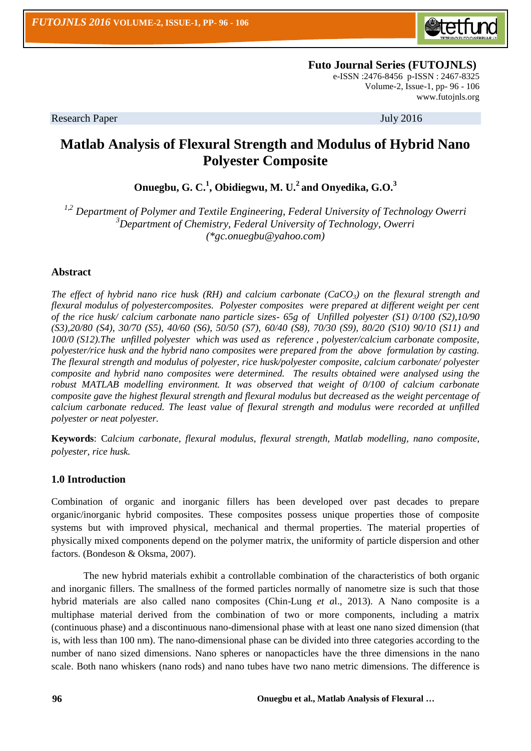

 **Futo Journal Series (FUTOJNLS)** e-ISSN :2476-8456 p-ISSN : 2467-8325 Volume-2, Issue-1, pp- 96 - 106 [www.futojnls.org](http://www.futojnls.org/)

Research Paper July 2016

# **Matlab Analysis of Flexural Strength and Modulus of Hybrid Nano Polyester Composite**

**Onuegbu, G. C.<sup>1</sup> , Obidiegwu, M. U. <sup>2</sup>and Onyedika, G.O.<sup>3</sup>**

*1,2 Department of Polymer and Textile Engineering, Federal University of Technology Owerri <sup>3</sup>Department of Chemistry, Federal University of Technology, Owerri (\*gc.onuegbu@yahoo.com)*

# **Abstract**

*The effect of hybrid nano rice husk (RH) and calcium carbonate (CaCO3) on the flexural strength and flexural modulus of polyestercomposites. Polyester composites were prepared at different weight per cent of the rice husk/ calcium carbonate nano particle sizes- 65g of Unfilled polyester (S1) 0/100 (S2),10/90 (S3),20/80 (S4), 30/70 (S5), 40/60 (S6), 50/50 (S7), 60/40 (S8), 70/30 (S9), 80/20 (S10) 90/10 (S11) and 100/0 (S12).The unfilled polyester which was used as reference , polyester/calcium carbonate composite, polyester/rice husk and the hybrid nano composites were prepared from the above formulation by casting. The flexural strength and modulus of polyester, rice husk/polyester composite, calcium carbonate/ polyester composite and hybrid nano composites were determined. The results obtained were analysed using the robust MATLAB modelling environment. It was observed that weight of 0/100 of calcium carbonate composite gave the highest flexural strength and flexural modulus but decreased as the weight percentage of calcium carbonate reduced. The least value of flexural strength and modulus were recorded at unfilled polyester or neat polyester.*

**Keywords**: C*alcium carbonate, flexural modulus, flexural strength, Matlab modelling, nano composite, polyester, rice husk.*

# **1.0 Introduction**

Combination of organic and inorganic fillers has been developed over past decades to prepare organic/inorganic hybrid composites. These composites possess unique properties those of composite systems but with improved physical, mechanical and thermal properties. The material properties of physically mixed components depend on the polymer matrix, the uniformity of particle dispersion and other factors. (Bondeson & Oksma, 2007).

The new hybrid materials exhibit a controllable combination of the characteristics of both organic and inorganic fillers. The smallness of the formed particles normally of nanometre size is such that those hybrid materials are also called nano composites (Chin-Lung *et a*l., 2013). A Nano composite is a multiphase material derived from the combination of two or more components, including a matrix (continuous phase) and a discontinuous nano-dimensional phase with at least one nano sized dimension (that is, with less than 100 nm). The nano-dimensional phase can be divided into three categories according to the number of nano sized dimensions. Nano spheres or nanopacticles have the three dimensions in the nano scale. Both nano whiskers (nano rods) and nano tubes have two nano metric dimensions. The difference is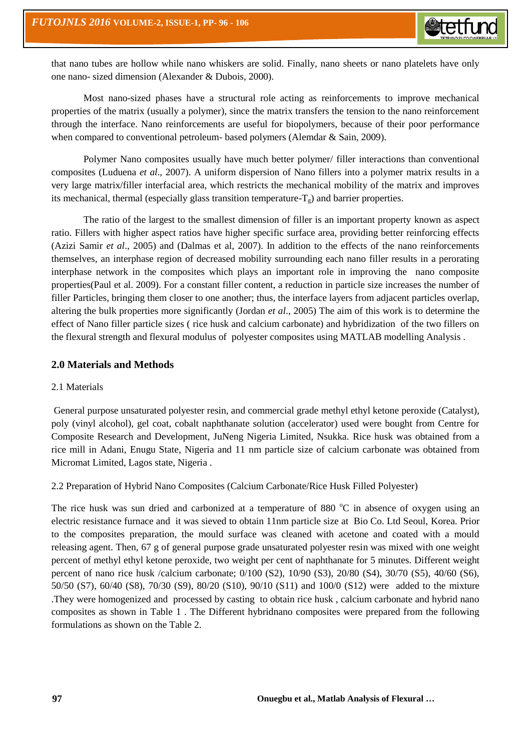that nano tubes are hollow while nano whiskers are solid. Finally, nano sheets or nano platelets have only one nano- sized dimension (Alexander & Dubois, 2000).

Most nano-sized phases have a structural role acting as reinforcements to improve mechanical properties of the matrix (usually a polymer), since the matrix transfers the tension to the nano reinforcement through the interface. Nano reinforcements are useful for biopolymers, because of their poor performance when compared to conventional petroleum- based polymers (Alemdar & Sain, 2009).

Polymer Nano composites usually have much better polymer/ filler interactions than conventional composites (Luduena *et al*., 2007). A uniform dispersion of Nano fillers into a polymer matrix results in a very large matrix/filler interfacial area, which restricts the mechanical mobility of the matrix and improves its mechanical, thermal (especially glass transition temperature- $T<sub>g</sub>$ ) and barrier properties.

The ratio of the largest to the smallest dimension of filler is an important property known as aspect ratio. Fillers with higher aspect ratios have higher specific surface area, providing better reinforcing effects (Azizi Samir *et al*., 2005) and (Dalmas et al, 2007). In addition to the effects of the nano reinforcements themselves, an interphase region of decreased mobility surrounding each nano filler results in a perorating interphase network in the composites which plays an important role in improving the nano composite properties(Paul et al. 2009). For a constant filler content, a reduction in particle size increases the number of filler Particles, bringing them closer to one another; thus, the interface layers from adjacent particles overlap, altering the bulk properties more significantly (Jordan *et al*., 2005) The aim of this work is to determine the effect of Nano filler particle sizes ( rice husk and calcium carbonate) and hybridization of the two fillers on the flexural strength and flexural modulus of polyester composites using MATLAB modelling Analysis .

# **2.0 Materials and Methods**

### 2.1 Materials

General purpose unsaturated polyester resin, and commercial grade methyl ethyl ketone peroxide (Catalyst), poly (vinyl alcohol), gel coat, cobalt naphthanate solution (accelerator) used were bought from Centre for Composite Research and Development, JuNeng Nigeria Limited, Nsukka. Rice husk was obtained from a rice mill in Adani, Enugu State, Nigeria and 11 nm particle size of calcium carbonate was obtained from Micromat Limited, Lagos state, Nigeria .

2.2 Preparation of Hybrid Nano Composites (Calcium Carbonate/Rice Husk Filled Polyester)

The rice husk was sun dried and carbonized at a temperature of 880  $^{\circ}$ C in absence of oxygen using an electric resistance furnace and it was sieved to obtain 11nm particle size at Bio Co. Ltd Seoul, Korea. Prior to the composites preparation, the mould surface was cleaned with acetone and coated with a mould releasing agent. Then, 67 g of general purpose grade unsaturated polyester resin was mixed with one weight percent of methyl ethyl ketone peroxide, two weight per cent of naphthanate for 5 minutes. Different weight percent of nano rice husk /calcium carbonate; 0/100 (S2), 10/90 (S3), 20/80 (S4), 30/70 (S5), 40/60 (S6), 50/50 (S7), 60/40 (S8), 70/30 (S9), 80/20 (S10), 90/10 (S11) and 100/0 (S12) were added to the mixture .They were homogenized and processed by casting to obtain rice husk , calcium carbonate and hybrid nano composites as shown in Table 1 . The Different hybridnano composites were prepared from the following formulations as shown on the Table 2.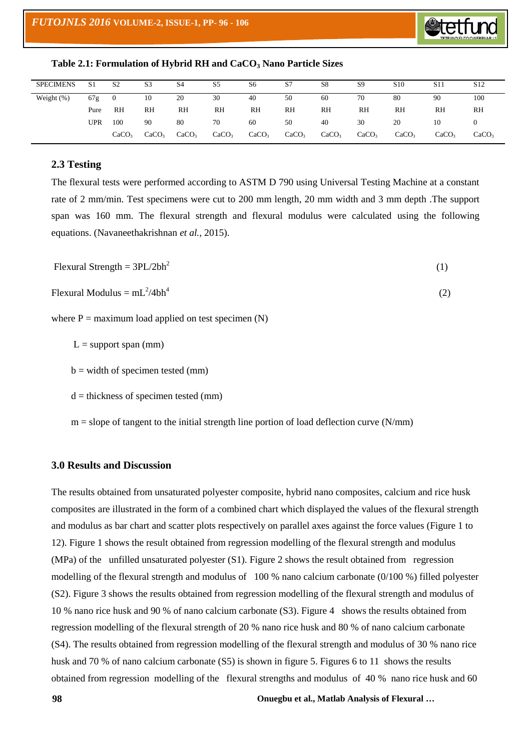

| <b>SPECIMENS</b> | S <sub>1</sub> | S <sub>2</sub>    | S <sub>3</sub>    | S <sub>4</sub>    | S5                | S6                | S7                | S8                | S <sub>9</sub>    | S <sub>10</sub>   | S <sub>11</sub>   | S <sub>12</sub>   |
|------------------|----------------|-------------------|-------------------|-------------------|-------------------|-------------------|-------------------|-------------------|-------------------|-------------------|-------------------|-------------------|
| Weight $(\%)$    | 67g            | $\theta$          | 10                | 20                | 30                | 40                | 50                | 60                | 70                | 80                | 90                | 100               |
|                  | Pure           | RH                | RH                | RH                | RH                | RH                | RH                | RH                | RH                | RH                | RH                | RH                |
|                  | UPR            | 100               | 90                | 80                | 70                | 60                | 50                | 40                | 30                | 20                | 10                |                   |
|                  |                | CaCO <sub>3</sub> | CaCO <sub>3</sub> | CaCO <sub>3</sub> | CaCO <sub>3</sub> | CaCO <sub>3</sub> | CaCO <sub>3</sub> | CaCO <sub>3</sub> | CaCO <sub>3</sub> | CaCO <sub>3</sub> | CaCO <sub>3</sub> | CaCO <sub>3</sub> |

**Table 2.1: Formulation of Hybrid RH and CaCO<sup>3</sup> Nano Particle Sizes**

## **2.3 Testing**

The flexural tests were performed according to ASTM D 790 using Universal Testing Machine at a constant rate of 2 mm/min. Test specimens were cut to 200 mm length, 20 mm width and 3 mm depth .The support span was 160 mm. The flexural strength and flexural modulus were calculated using the following equations. (Navaneethakrishnan *et al.,* 2015).

| Flexural Strength = $3PL/2bh^2$ |  |
|---------------------------------|--|
|                                 |  |

Flexural Modulus =  $mL^2/4bh^4$ (2)

where  $P =$  maximum load applied on test specimen  $(N)$ 

 $L =$  support span (mm)

 $b = width of specimen tested (mm)$ 

 $d =$  thickness of specimen tested (mm)

 $m =$  slope of tangent to the initial strength line portion of load deflection curve (N/mm)

## **3.0 Results and Discussion**

The results obtained from unsaturated polyester composite, hybrid nano composites, calcium and rice husk composites are illustrated in the form of a combined chart which displayed the values of the flexural strength and modulus as bar chart and scatter plots respectively on parallel axes against the force values (Figure 1 to 12). Figure 1 shows the result obtained from regression modelling of the flexural strength and modulus (MPa) of the unfilled unsaturated polyester (S1). Figure 2 shows the result obtained from regression modelling of the flexural strength and modulus of 100 % nano calcium carbonate (0/100 %) filled polyester (S2). Figure 3 shows the results obtained from regression modelling of the flexural strength and modulus of 10 % nano rice husk and 90 % of nano calcium carbonate (S3). Figure 4 shows the results obtained from regression modelling of the flexural strength of 20 % nano rice husk and 80 % of nano calcium carbonate (S4). The results obtained from regression modelling of the flexural strength and modulus of 30 % nano rice husk and 70 % of nano calcium carbonate (S5) is shown in figure 5. Figures 6 to 11 shows the results obtained from regression modelling of the flexural strengths and modulus of 40 % nano rice husk and 60

**98 Onuegbu et al., Matlab Analysis of Flexural …**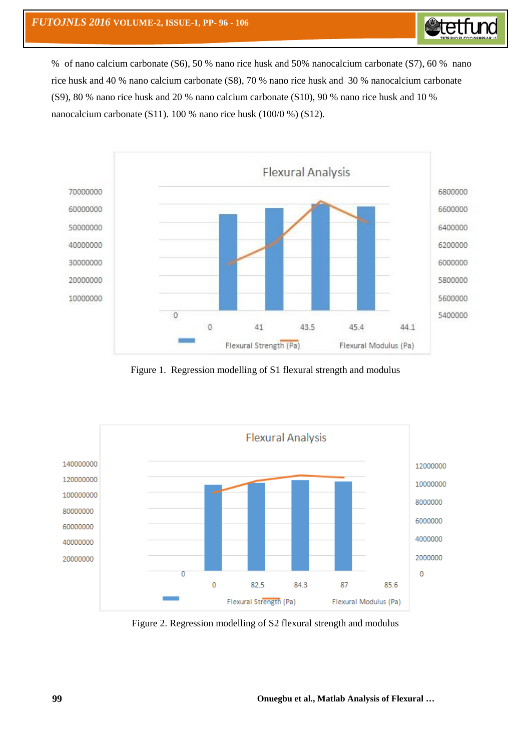

% of nano calcium carbonate (S6), 50 % nano rice husk and 50% nanocalcium carbonate (S7), 60 % nano rice husk and 40 % nano calcium carbonate (S8), 70 % nano rice husk and 30 % nanocalcium carbonate (S9), 80 % nano rice husk and 20 % nano calcium carbonate (S10), 90 % nano rice husk and 10 % nanocalcium carbonate (S11). 100 % nano rice husk (100/0 %) (S12).



Figure 1. Regression modelling of S1 flexural strength and modulus



Figure 2. Regression modelling of S2 flexural strength and modulus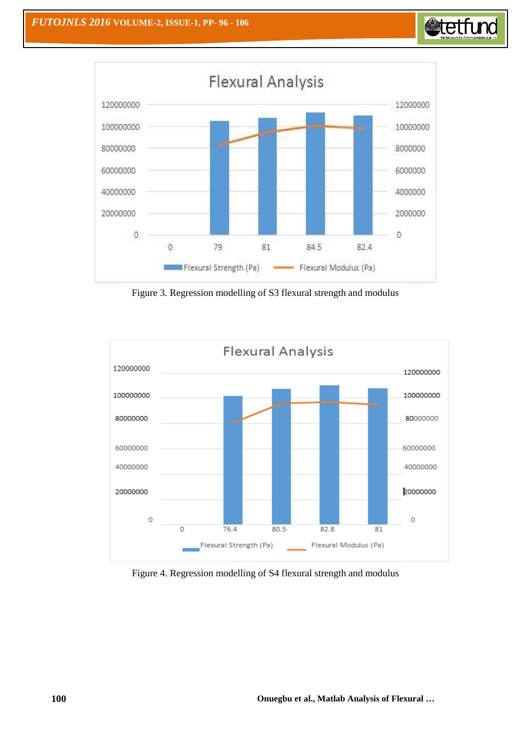





Figure 3. Regression modelling of S3 flexural strength and modulus



Figure 4. Regression modelling of S4 flexural strength and modulus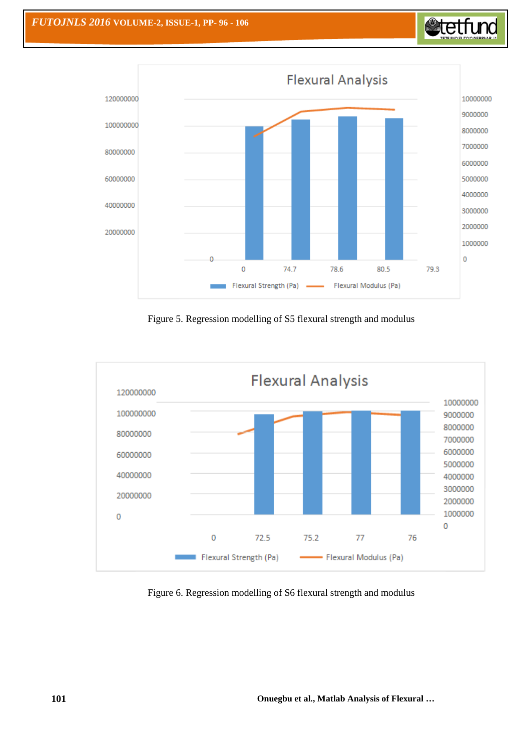



Figure 5. Regression modelling of S5 flexural strength and modulus



Figure 6. Regression modelling of S6 flexural strength and modulus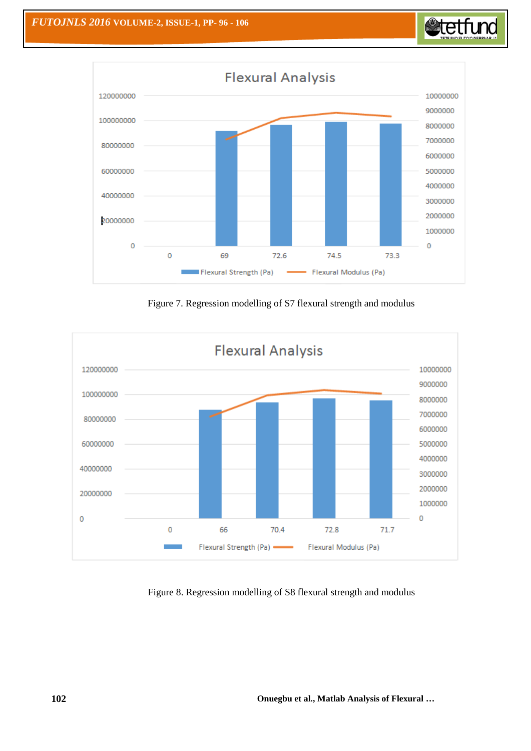



Figure 7. Regression modelling of S7 flexural strength and modulus



Figure 8. Regression modelling of S8 flexural strength and modulus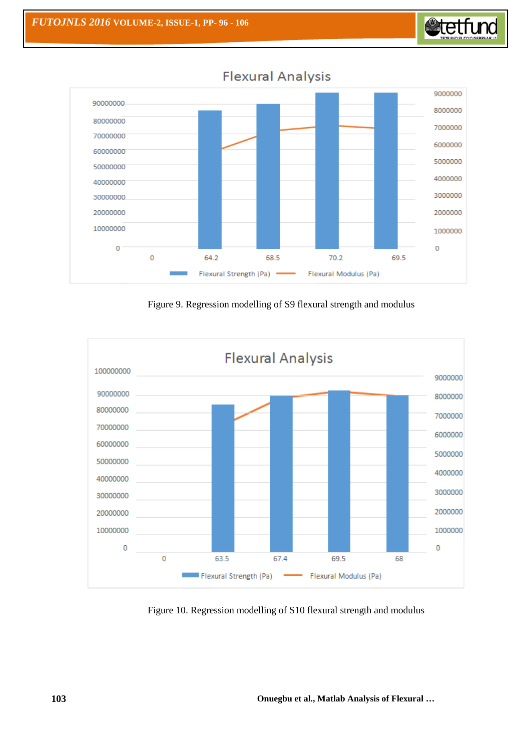



**Flexural Analysis** 

Figure 9. Regression modelling of S9 flexural strength and modulus



Figure 10. Regression modelling of S10 flexural strength and modulus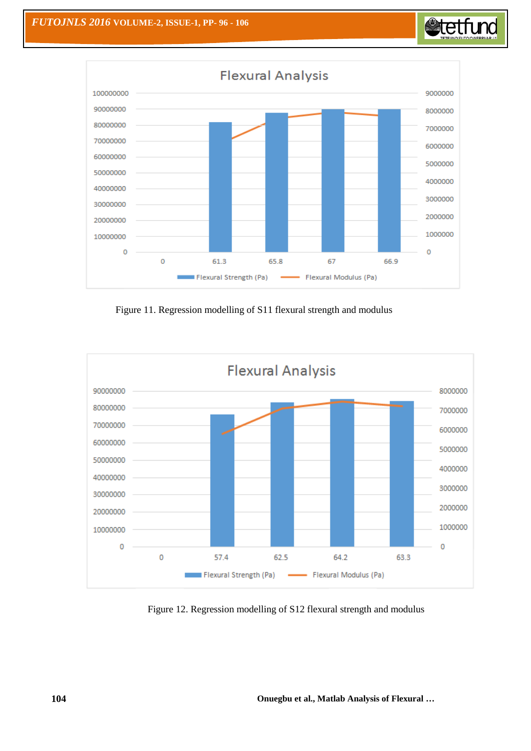





Figure 11. Regression modelling of S11 flexural strength and modulus



Figure 12. Regression modelling of S12 flexural strength and modulus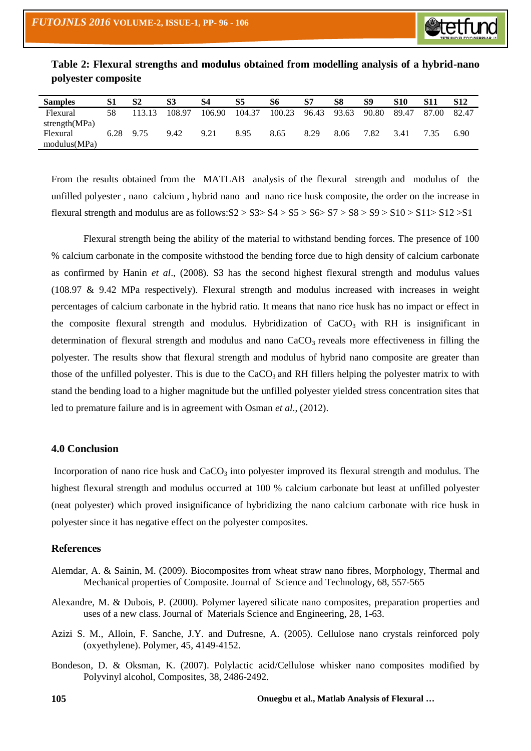

| <b>Samples</b>   | S <sub>1</sub> | S <sub>2</sub> | S3     | <b>S4</b> | S5     | S6     | S7    | S8    | S9    | <b>S10</b> |       | <b>S12</b> |
|------------------|----------------|----------------|--------|-----------|--------|--------|-------|-------|-------|------------|-------|------------|
| Flexural         | 58             | 113.13         | 108.97 | 106.90    | 104.37 | 100.23 | 96.43 | 93.63 | 90.80 | 89.47      | 87.00 | 82.47      |
| strength $(MPa)$ |                |                |        |           |        |        |       |       |       |            |       |            |
| Flexural         | 6.28           | 9.75           | 9.42   | 9.21      | 8.95   | 8.65   | 8.29  | 8.06  | 7.82  | 3.41       | 7.35  | 6.90       |
| modulus(MPa)     |                |                |        |           |        |        |       |       |       |            |       |            |

**Table 2: Flexural strengths and modulus obtained from modelling analysis of a hybrid-nano polyester composite** 

From the results obtained from the MATLAB analysis of the flexural strength and modulus of the unfilled polyester , nano calcium , hybrid nano and nano rice husk composite, the order on the increase in flexural strength and modulus are as follows: $S2 > S3 > S4 > S5 > S6 > S7 > S8 > S9 > S10 > S11 > S12 > S1$ 

Flexural strength being the ability of the material to withstand bending forces. The presence of 100 % calcium carbonate in the composite withstood the bending force due to high density of calcium carbonate as confirmed by Hanin *et al*., (2008). S3 has the second highest flexural strength and modulus values (108.97 & 9.42 MPa respectively). Flexural strength and modulus increased with increases in weight percentages of calcium carbonate in the hybrid ratio. It means that nano rice husk has no impact or effect in the composite flexural strength and modulus. Hybridization of  $CaCO<sub>3</sub>$  with RH is insignificant in determination of flexural strength and modulus and nano  $CaCO<sub>3</sub>$  reveals more effectiveness in filling the polyester. The results show that flexural strength and modulus of hybrid nano composite are greater than those of the unfilled polyester. This is due to the  $CaCO<sub>3</sub>$  and RH fillers helping the polyester matrix to with stand the bending load to a higher magnitude but the unfilled polyester yielded stress concentration sites that led to premature failure and is in agreement with Osman *et al*., (2012).

#### **4.0 Conclusion**

Incorporation of nano rice husk and  $CaCO<sub>3</sub>$  into polyester improved its flexural strength and modulus. The highest flexural strength and modulus occurred at 100 % calcium carbonate but least at unfilled polyester (neat polyester) which proved insignificance of hybridizing the nano calcium carbonate with rice husk in polyester since it has negative effect on the polyester composites.

#### **References**

- Alemdar, A. & Sainin, M. (2009). Biocomposites from wheat straw nano fibres, Morphology, Thermal and Mechanical properties of Composite. Journal of Science and Technology, 68, 557-565
- Alexandre, M. & Dubois, P. (2000). Polymer layered silicate nano composites, preparation properties and uses of a new class. Journal of Materials Science and Engineering, 28, 1-63.
- Azizi S. M., Alloin, F. Sanche, J.Y. and Dufresne, A. (2005). Cellulose nano crystals reinforced poly (oxyethylene). Polymer, 45, 4149-4152.
- Bondeson, D. & Oksman, K. (2007). Polylactic acid/Cellulose whisker nano composites modified by Polyvinyl alcohol, Composites, 38, 2486-2492.